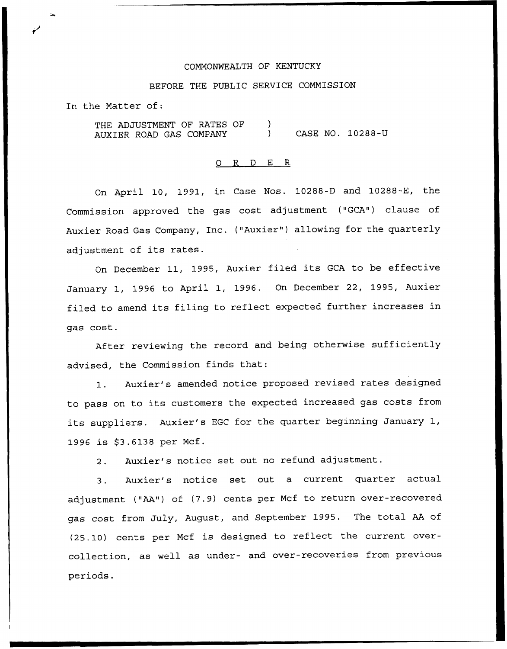#### COMMONWEALTH OF KENTUCKY

#### BEFORE THE PUBLIC SERVICE COMMISSION

In the Matter of:

THE ADJUSTMENT OF RATES OF AUXIER ROAD GAS COMPANY  $\mathcal{L}$ ) CASE NO. 10288-U

### 0 R <sup>D</sup> E R

On April 10, 1991, in Case Nos. 10288-D and 10288-E, the Commission approved the gas cost adjustment ("GCA") clause of Auxier Road Gas Company, Inc. ("Auxier") allowing for the quarterly adjustment of its rates.

On December 11, 1995, Auxier filed its GCA to be effective January 1, 1996 to April 1, 1996. On December 22, 1995, Auxier filed to amend its filing to reflect expected further increases in qas cost.

After reviewing the record and being otherwise sufficiently advised, the Commission finds that:

1. Auxier's amended notice proposed revised rates designed to pass on to its customers the expected increased gas costs from its suppliers. Auxier's EGC for the quarter beginning January 1, 1996 is \$3.6138 per Mcf.

2. Auxier's notice set out no refund adjustment.

3. Auxier's notice set out <sup>a</sup> current quarter actual adjustment ("AA") of (7.9) cents per Mcf to return over-recovered gas cost from July, August, and September 1995. The total AA of (25.10) cents per Mcf is designed to reflect the current overcollection, as well as under- and over-recoveries from previous periods.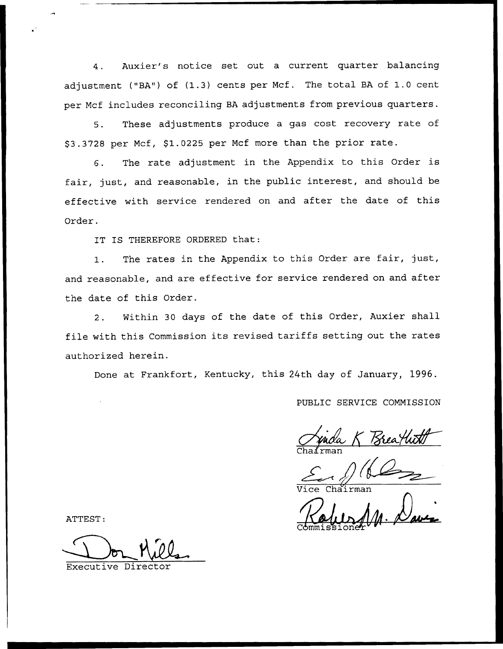4. Auxier's notice set out a current quarter balancing adjustment ("BA") of (1.3) cents per Mcf. The total BA of 1.0 cent per Mcf includes reconciling BA adjustments from previous quarters.

5. These adjustments produce a gas cost recovery rate of \$3.3728 per Mcf, \$1.0225 per Mcf more than the prior rate.

6. The rate adjustment in the Appendix to this Order is fair, just, and reasonable, in the public interest, and should be effective with service rendered on and after the date of this Order.

IT IS THEREFORE ORDERED that:

1. The rates in the Appendix to this Order are fair, just, and reasonable, and are effective for service rendered on and after the date of this Order.

2. Within 30 days of the date of this Order, Auxier shall file with this Commission its revised tariffs setting out the rates authorized herein.

Done at Frankfort, Kentucky, this 24th day of January, 1996.

PUBLIC SERVICE COMMISSION

Anda K Brealwith

Vice Chairma

Commissioneh

ATTEST:

Director Theory of the Director